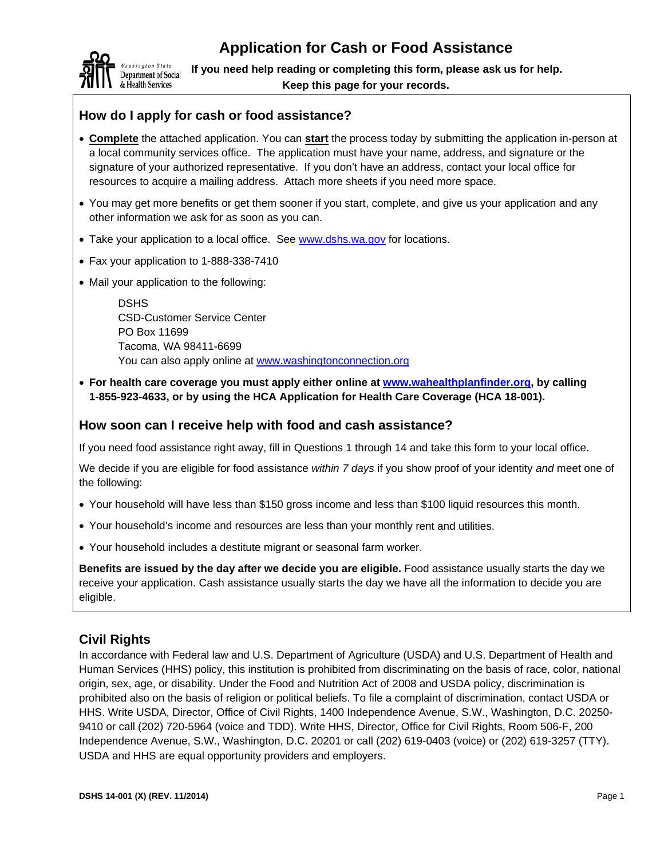

**If you need help reading or completing this form, please ask us for help. Keep this page for your records.** 

## **How do I apply for cash or food assistance?**

- **Complete** the attached application. You can **start** the process today by submitting the application in-person at a local community services office. The application must have your name, address, and signature or the signature of your authorized representative. If you don't have an address, contact your local office for resources to acquire a mailing address. Attach more sheets if you need more space.
- You may get more benefits or get them sooner if you start, complete, and give us your application and any other information we ask for as soon as you can.
- Take your application to a local office. See www.dshs.wa.gov for locations.
- Fax your application to 1-888-338-7410
- Mail your application to the following:

DSHS CSD-Customer Service Center PO Box 11699 Tacoma, WA 98411-6699 You can also apply online at www.washingtonconnection.org

 **For health care coverage you must apply either online at www.wahealthplanfinder.org, by calling 1-855-923-4633, or by using the HCA Application for Health Care Coverage (HCA 18-001).**

#### **How soon can I receive help with food and cash assistance?**

If you need food assistance right away, fill in Questions 1 through 14 and take this form to your local office.

We decide if you are eligible for food assistance *within 7 days* if you show proof of your identity *and* meet one of the following:

- Your household will have less than \$150 gross income and less than \$100 liquid resources this month.
- Your household's income and resources are less than your monthly rent and utilities.
- Your household includes a destitute migrant or seasonal farm worker.

**Benefits are issued by the day after we decide you are eligible.** Food assistance usually starts the day we receive your application. Cash assistance usually starts the day we have all the information to decide you are eligible.

### **Civil Rights**

In accordance with Federal law and U.S. Department of Agriculture (USDA) and U.S. Department of Health and Human Services (HHS) policy, this institution is prohibited from discriminating on the basis of race, color, national origin, sex, age, or disability. Under the Food and Nutrition Act of 2008 and USDA policy, discrimination is prohibited also on the basis of religion or political beliefs. To file a complaint of discrimination, contact USDA or HHS. Write USDA, Director, Office of Civil Rights, 1400 Independence Avenue, S.W., Washington, D.C. 20250- 9410 or call (202) 720-5964 (voice and TDD). Write HHS, Director, Office for Civil Rights, Room 506-F, 200 Independence Avenue, S.W., Washington, D.C. 20201 or call (202) 619-0403 (voice) or (202) 619-3257 (TTY). USDA and HHS are equal opportunity providers and employers.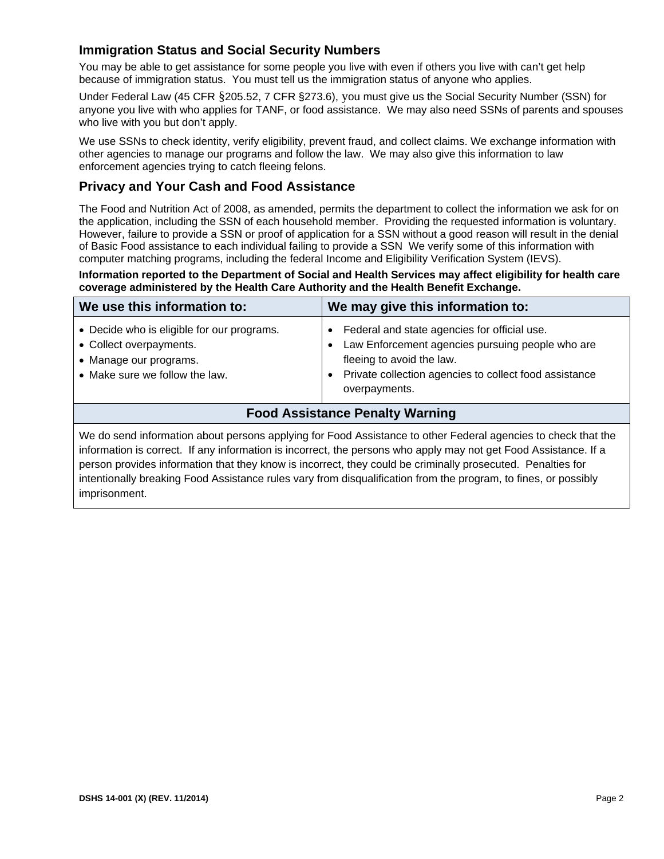### **Immigration Status and Social Security Numbers**

You may be able to get assistance for some people you live with even if others you live with can't get help because of immigration status. You must tell us the immigration status of anyone who applies.

Under Federal Law (45 CFR §205.52, 7 CFR §273.6), you must give us the Social Security Number (SSN) for anyone you live with who applies for TANF, or food assistance. We may also need SSNs of parents and spouses who live with you but don't apply.

We use SSNs to check identity, verify eligibility, prevent fraud, and collect claims. We exchange information with other agencies to manage our programs and follow the law. We may also give this information to law enforcement agencies trying to catch fleeing felons.

#### **Privacy and Your Cash and Food Assistance**

The Food and Nutrition Act of 2008, as amended, permits the department to collect the information we ask for on the application, including the SSN of each household member. Providing the requested information is voluntary. However, failure to provide a SSN or proof of application for a SSN without a good reason will result in the denial of Basic Food assistance to each individual failing to provide a SSN We verify some of this information with computer matching programs, including the federal Income and Eligibility Verification System (IEVS).

**Information reported to the Department of Social and Health Services may affect eligibility for health care coverage administered by the Health Care Authority and the Health Benefit Exchange.** 

| We use this information to:                                                                                                                                                                                                       | We may give this information to:                                                                                                                                                                                                   |  |  |  |  |
|-----------------------------------------------------------------------------------------------------------------------------------------------------------------------------------------------------------------------------------|------------------------------------------------------------------------------------------------------------------------------------------------------------------------------------------------------------------------------------|--|--|--|--|
| • Decide who is eligible for our programs.<br>• Collect overpayments.<br>• Manage our programs.<br>• Make sure we follow the law.                                                                                                 | Federal and state agencies for official use.<br>$\bullet$<br>Law Enforcement agencies pursuing people who are<br>fleeing to avoid the law.<br>Private collection agencies to collect food assistance<br>$\bullet$<br>overpayments. |  |  |  |  |
| <b>Food Assistance Penalty Warning</b>                                                                                                                                                                                            |                                                                                                                                                                                                                                    |  |  |  |  |
| We do send information about persons applying for Food Assistance to other Federal agencies to check that the<br>information is correct. If any information is incorrect, the persons who apply may not get Food Assistance. If a |                                                                                                                                                                                                                                    |  |  |  |  |

person provides information that they know is incorrect, they could be criminally prosecuted. Penalties for intentionally breaking Food Assistance rules vary from disqualification from the program, to fines, or possibly imprisonment.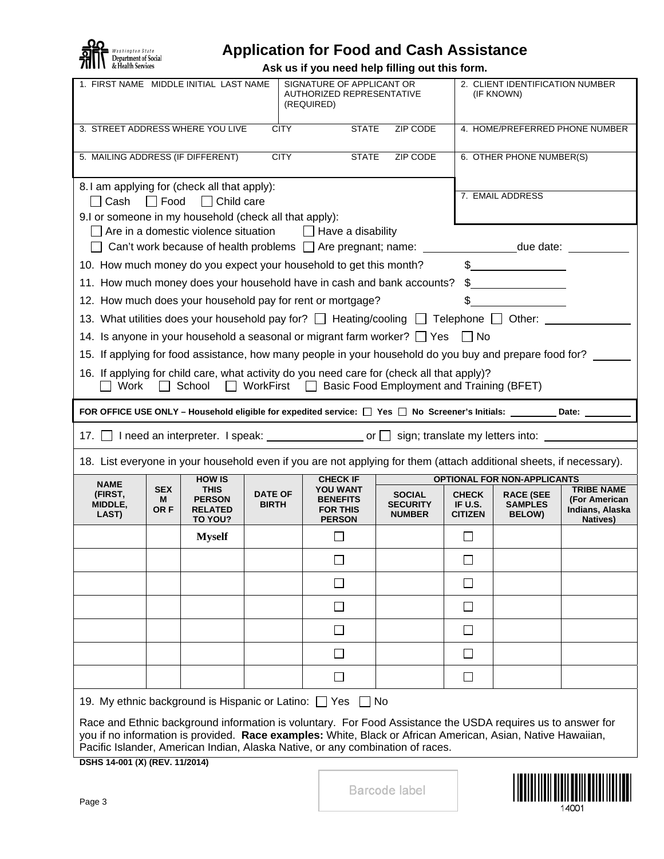

# **Application for Food and Cash Assistance**

**Ask us if you need help filling out this form.** 

|                                                                                                                                                                                                                                                                                                                                                                                                                                                                                                  |                         | 1. FIRST NAME MIDDLE INITIAL LAST NAME<br>SIGNATURE OF APPLICANT OR<br>2. CLIENT IDENTIFICATION NUMBER<br>AUTHORIZED REPRESENTATIVE<br>(IF KNOWN)<br>(REQUIRED) |                                |                                                                                                                                                                                                                                                                                                              |                                                   |                                           |                                                     |                                                                   |
|--------------------------------------------------------------------------------------------------------------------------------------------------------------------------------------------------------------------------------------------------------------------------------------------------------------------------------------------------------------------------------------------------------------------------------------------------------------------------------------------------|-------------------------|-----------------------------------------------------------------------------------------------------------------------------------------------------------------|--------------------------------|--------------------------------------------------------------------------------------------------------------------------------------------------------------------------------------------------------------------------------------------------------------------------------------------------------------|---------------------------------------------------|-------------------------------------------|-----------------------------------------------------|-------------------------------------------------------------------|
| 3. STREET ADDRESS WHERE YOU LIVE                                                                                                                                                                                                                                                                                                                                                                                                                                                                 |                         |                                                                                                                                                                 | <b>CITY</b>                    |                                                                                                                                                                                                                                                                                                              |                                                   | 4. HOME/PREFERRED PHONE NUMBER            |                                                     |                                                                   |
| <b>CITY</b><br><b>STATE</b><br>5. MAILING ADDRESS (IF DIFFERENT)<br>ZIP CODE                                                                                                                                                                                                                                                                                                                                                                                                                     |                         |                                                                                                                                                                 |                                |                                                                                                                                                                                                                                                                                                              |                                                   |                                           | 6. OTHER PHONE NUMBER(S)                            |                                                                   |
| 8.1 am applying for (check all that apply):<br>□ Cash                                                                                                                                                                                                                                                                                                                                                                                                                                            | $\Box$ Food             | □ Child care                                                                                                                                                    |                                | 7. EMAIL ADDRESS                                                                                                                                                                                                                                                                                             |                                                   |                                           |                                                     |                                                                   |
| 9.I or someone in my household (check all that apply):<br>$\Box$ Are in a domestic violence situation<br>$\Box$ Have a disability                                                                                                                                                                                                                                                                                                                                                                |                         |                                                                                                                                                                 |                                |                                                                                                                                                                                                                                                                                                              |                                                   |                                           |                                                     |                                                                   |
| □ Can't work because of health problems □ Are pregnant; name: ___________________due date: _________                                                                                                                                                                                                                                                                                                                                                                                             |                         |                                                                                                                                                                 |                                |                                                                                                                                                                                                                                                                                                              |                                                   |                                           |                                                     |                                                                   |
| $\begin{picture}(20,20) \put(0,0){\line(1,0){100}} \put(15,0){\line(1,0){100}} \put(15,0){\line(1,0){100}} \put(15,0){\line(1,0){100}} \put(15,0){\line(1,0){100}} \put(15,0){\line(1,0){100}} \put(15,0){\line(1,0){100}} \put(15,0){\line(1,0){100}} \put(15,0){\line(1,0){100}} \put(15,0){\line(1,0){100}} \put(15,0){\line(1,0){100}} \$<br>10. How much money do you expect your household to get this month?<br>11. How much money does your household have in cash and bank accounts? \$ |                         |                                                                                                                                                                 |                                |                                                                                                                                                                                                                                                                                                              |                                                   |                                           |                                                     |                                                                   |
|                                                                                                                                                                                                                                                                                                                                                                                                                                                                                                  |                         |                                                                                                                                                                 |                                | 12. How much does your household pay for rent or mortgage?                                                                                                                                                                                                                                                   |                                                   |                                           | $\sim$                                              |                                                                   |
|                                                                                                                                                                                                                                                                                                                                                                                                                                                                                                  |                         |                                                                                                                                                                 |                                | 13. What utilities does your household pay for? $\Box$ Heating/cooling $\Box$ Telephone $\Box$ Other:                                                                                                                                                                                                        |                                                   |                                           |                                                     |                                                                   |
|                                                                                                                                                                                                                                                                                                                                                                                                                                                                                                  |                         |                                                                                                                                                                 |                                | 14. Is anyone in your household a seasonal or migrant farm worker? $\Box$ Yes $\Box$ No                                                                                                                                                                                                                      |                                                   |                                           |                                                     |                                                                   |
| 15. If applying for food assistance, how many people in your household do you buy and prepare food for?                                                                                                                                                                                                                                                                                                                                                                                          |                         |                                                                                                                                                                 |                                |                                                                                                                                                                                                                                                                                                              |                                                   |                                           |                                                     |                                                                   |
| 16. If applying for child care, what activity do you need care for (check all that apply)?<br>School<br>$\Box$ WorkFirst $\Box$ Basic Food Employment and Training (BFET)<br>Work                                                                                                                                                                                                                                                                                                                |                         |                                                                                                                                                                 |                                |                                                                                                                                                                                                                                                                                                              |                                                   |                                           |                                                     |                                                                   |
| FOR OFFICE USE ONLY - Household eligible for expedited service: $\Box$ Yes $\Box$ No Screener's Initials: ________ Date: ______                                                                                                                                                                                                                                                                                                                                                                  |                         |                                                                                                                                                                 |                                |                                                                                                                                                                                                                                                                                                              |                                                   |                                           |                                                     |                                                                   |
| 17. 1 need an interpreter. I speak: _______________________ or \omegins; translate my letters into: __________                                                                                                                                                                                                                                                                                                                                                                                   |                         |                                                                                                                                                                 |                                |                                                                                                                                                                                                                                                                                                              |                                                   |                                           |                                                     |                                                                   |
|                                                                                                                                                                                                                                                                                                                                                                                                                                                                                                  |                         |                                                                                                                                                                 |                                |                                                                                                                                                                                                                                                                                                              |                                                   |                                           |                                                     |                                                                   |
|                                                                                                                                                                                                                                                                                                                                                                                                                                                                                                  |                         |                                                                                                                                                                 |                                | 18. List everyone in your household even if you are not applying for them (attach additional sheets, if necessary).                                                                                                                                                                                          |                                                   |                                           |                                                     |                                                                   |
| <b>NAME</b>                                                                                                                                                                                                                                                                                                                                                                                                                                                                                      |                         | <b>HOW IS</b>                                                                                                                                                   |                                | <b>CHECK IF</b>                                                                                                                                                                                                                                                                                              |                                                   |                                           | <b>OPTIONAL FOR NON-APPLICANTS</b>                  |                                                                   |
| (FIRST,<br>MIDDLE,<br>LAST)                                                                                                                                                                                                                                                                                                                                                                                                                                                                      | <b>SEX</b><br>м<br>OR F | <b>THIS</b><br><b>PERSON</b><br><b>RELATED</b><br>TO YOU?                                                                                                       | <b>DATE OF</b><br><b>BIRTH</b> | <b>YOU WANT</b><br><b>BENEFITS</b><br><b>FOR THIS</b><br><b>PERSON</b>                                                                                                                                                                                                                                       | <b>SOCIAL</b><br><b>SECURITY</b><br><b>NUMBER</b> | <b>CHECK</b><br>IF U.S.<br><b>CITIZEN</b> | <b>RACE (SEE</b><br><b>SAMPLES</b><br><b>BELOW)</b> | <b>TRIBE NAME</b><br>(For American<br>Indians, Alaska<br>Natives) |
|                                                                                                                                                                                                                                                                                                                                                                                                                                                                                                  |                         | <b>Myself</b>                                                                                                                                                   |                                | ⊔                                                                                                                                                                                                                                                                                                            |                                                   | $\Box$                                    |                                                     |                                                                   |
|                                                                                                                                                                                                                                                                                                                                                                                                                                                                                                  |                         |                                                                                                                                                                 |                                | $\Box$                                                                                                                                                                                                                                                                                                       |                                                   | ┌<br>$\Box$                               |                                                     |                                                                   |
|                                                                                                                                                                                                                                                                                                                                                                                                                                                                                                  |                         |                                                                                                                                                                 |                                | $\Box$                                                                                                                                                                                                                                                                                                       |                                                   | $\Box$                                    |                                                     |                                                                   |
|                                                                                                                                                                                                                                                                                                                                                                                                                                                                                                  |                         |                                                                                                                                                                 |                                | $\Box$                                                                                                                                                                                                                                                                                                       |                                                   | $\perp$                                   |                                                     |                                                                   |
|                                                                                                                                                                                                                                                                                                                                                                                                                                                                                                  |                         |                                                                                                                                                                 |                                | $\overline{\phantom{a}}$                                                                                                                                                                                                                                                                                     |                                                   | $\mathsf{L}$                              |                                                     |                                                                   |
|                                                                                                                                                                                                                                                                                                                                                                                                                                                                                                  |                         |                                                                                                                                                                 |                                | $\mathsf{I}$                                                                                                                                                                                                                                                                                                 |                                                   | $\mathsf{L}$                              |                                                     |                                                                   |
|                                                                                                                                                                                                                                                                                                                                                                                                                                                                                                  |                         |                                                                                                                                                                 |                                | ┓                                                                                                                                                                                                                                                                                                            |                                                   | $\Box$                                    |                                                     |                                                                   |
| 19. My ethnic background is Hispanic or Latino: Yes                                                                                                                                                                                                                                                                                                                                                                                                                                              |                         |                                                                                                                                                                 |                                | $\Box$ No                                                                                                                                                                                                                                                                                                    |                                                   |                                           |                                                     |                                                                   |
| DSHS 14-001 (X) (REV. 11/2014)                                                                                                                                                                                                                                                                                                                                                                                                                                                                   |                         |                                                                                                                                                                 |                                | Race and Ethnic background information is voluntary. For Food Assistance the USDA requires us to answer for<br>you if no information is provided. Race examples: White, Black or African American, Asian, Native Hawaiian,<br>Pacific Islander, American Indian, Alaska Native, or any combination of races. |                                                   |                                           |                                                     |                                                                   |

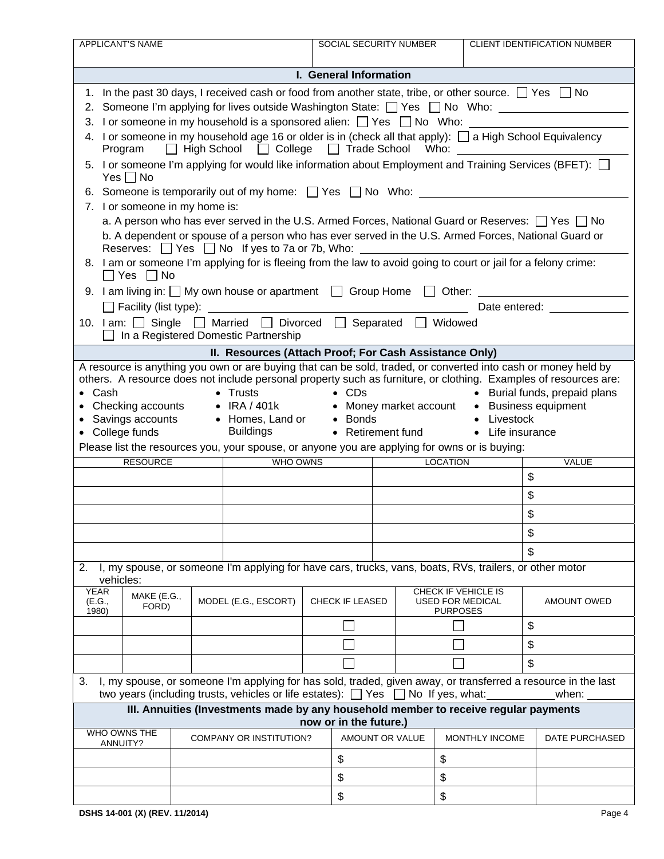|                                                                                                                                                                                                                                                                                                                                                                                                                                                                                                                                                  | <b>APPLICANT'S NAME</b>                                                                                                   |                                                                                                                                                                        |  | SOCIAL SECURITY NUMBER |    |                                                            | <b>CLIENT IDENTIFICATION NUMBER</b>                                                                                                                                                                                            |
|--------------------------------------------------------------------------------------------------------------------------------------------------------------------------------------------------------------------------------------------------------------------------------------------------------------------------------------------------------------------------------------------------------------------------------------------------------------------------------------------------------------------------------------------------|---------------------------------------------------------------------------------------------------------------------------|------------------------------------------------------------------------------------------------------------------------------------------------------------------------|--|------------------------|----|------------------------------------------------------------|--------------------------------------------------------------------------------------------------------------------------------------------------------------------------------------------------------------------------------|
|                                                                                                                                                                                                                                                                                                                                                                                                                                                                                                                                                  |                                                                                                                           |                                                                                                                                                                        |  |                        |    |                                                            |                                                                                                                                                                                                                                |
|                                                                                                                                                                                                                                                                                                                                                                                                                                                                                                                                                  |                                                                                                                           |                                                                                                                                                                        |  | I. General Information |    |                                                            |                                                                                                                                                                                                                                |
| 1. In the past 30 days, I received cash or food from another state, tribe, or other source. $\Box$ Yes $\Box$ No                                                                                                                                                                                                                                                                                                                                                                                                                                 |                                                                                                                           |                                                                                                                                                                        |  |                        |    |                                                            |                                                                                                                                                                                                                                |
|                                                                                                                                                                                                                                                                                                                                                                                                                                                                                                                                                  | 2. Someone I'm applying for lives outside Washington State: T Yes T No Who: ________________________                      |                                                                                                                                                                        |  |                        |    |                                                            |                                                                                                                                                                                                                                |
| 3. I or someone in my household is a sponsored alien: $\Box$ Yes $\Box$ No Who:                                                                                                                                                                                                                                                                                                                                                                                                                                                                  |                                                                                                                           |                                                                                                                                                                        |  |                        |    |                                                            |                                                                                                                                                                                                                                |
|                                                                                                                                                                                                                                                                                                                                                                                                                                                                                                                                                  | 4. I or someone in my household age 16 or older is in (check all that apply): $\Box$ a High School Equivalency<br>Program |                                                                                                                                                                        |  |                        |    |                                                            |                                                                                                                                                                                                                                |
| 5. I or someone I'm applying for would like information about Employment and Training Services (BFET): $\Box$<br>$Yes \Box No$                                                                                                                                                                                                                                                                                                                                                                                                                   |                                                                                                                           |                                                                                                                                                                        |  |                        |    |                                                            |                                                                                                                                                                                                                                |
| 6. Someone is temporarily out of my home: $\Box$ Yes $\Box$ No Who:                                                                                                                                                                                                                                                                                                                                                                                                                                                                              |                                                                                                                           |                                                                                                                                                                        |  |                        |    |                                                            |                                                                                                                                                                                                                                |
|                                                                                                                                                                                                                                                                                                                                                                                                                                                                                                                                                  | 7. I or someone in my home is:                                                                                            |                                                                                                                                                                        |  |                        |    |                                                            |                                                                                                                                                                                                                                |
|                                                                                                                                                                                                                                                                                                                                                                                                                                                                                                                                                  |                                                                                                                           | a. A person who has ever served in the U.S. Armed Forces, National Guard or Reserves: $\Box$ Yes $\Box$ No                                                             |  |                        |    |                                                            |                                                                                                                                                                                                                                |
|                                                                                                                                                                                                                                                                                                                                                                                                                                                                                                                                                  |                                                                                                                           | b. A dependent or spouse of a person who has ever served in the U.S. Armed Forces, National Guard or<br>Reserves: $\Box$ Yes $\Box$ No If yes to 7a or 7b, Who: $\Box$ |  |                        |    |                                                            |                                                                                                                                                                                                                                |
|                                                                                                                                                                                                                                                                                                                                                                                                                                                                                                                                                  | $\Box$ Yes $\Box$ No                                                                                                      | 8. I am or someone I'm applying for is fleeing from the law to avoid going to court or jail for a felony crime:                                                        |  |                        |    |                                                            |                                                                                                                                                                                                                                |
|                                                                                                                                                                                                                                                                                                                                                                                                                                                                                                                                                  |                                                                                                                           | 9. I am living in: $\Box$ My own house or apartment $\Box$ Group Home $\Box$ Other: $\Box$                                                                             |  |                        |    |                                                            |                                                                                                                                                                                                                                |
|                                                                                                                                                                                                                                                                                                                                                                                                                                                                                                                                                  |                                                                                                                           |                                                                                                                                                                        |  |                        |    |                                                            | Date entered: Note that the state of the state of the state of the state of the state of the state of the state of the state of the state of the state of the state of the state of the state of the state of the state of the |
|                                                                                                                                                                                                                                                                                                                                                                                                                                                                                                                                                  |                                                                                                                           | 10. I am: Single Married D Divorced Separated Nidowed<br>In a Registered Domestic Partnership                                                                          |  |                        |    |                                                            |                                                                                                                                                                                                                                |
|                                                                                                                                                                                                                                                                                                                                                                                                                                                                                                                                                  |                                                                                                                           |                                                                                                                                                                        |  |                        |    |                                                            |                                                                                                                                                                                                                                |
|                                                                                                                                                                                                                                                                                                                                                                                                                                                                                                                                                  |                                                                                                                           | II. Resources (Attach Proof; For Cash Assistance Only)                                                                                                                 |  |                        |    |                                                            |                                                                                                                                                                                                                                |
| A resource is anything you own or are buying that can be sold, traded, or converted into cash or money held by<br>others. A resource does not include personal property such as furniture, or clothing. Examples of resources are:<br>$\bullet$ CDs<br>$\bullet$ Cash<br>• Burial funds, prepaid plans<br>• Trusts<br>• Checking accounts • IRA / 401k • Money market account • Business equipment<br>• Savings accounts • Homes, Land or • Bonds<br>• Livestock<br><b>Buildings</b><br>• College funds<br>• Retirement fund<br>• Life insurance |                                                                                                                           |                                                                                                                                                                        |  |                        |    |                                                            |                                                                                                                                                                                                                                |
|                                                                                                                                                                                                                                                                                                                                                                                                                                                                                                                                                  |                                                                                                                           | Please list the resources you, your spouse, or anyone you are applying for owns or is buying:                                                                          |  |                        |    |                                                            |                                                                                                                                                                                                                                |
|                                                                                                                                                                                                                                                                                                                                                                                                                                                                                                                                                  | WHO OWNS<br><b>RESOURCE</b><br><b>LOCATION</b><br>VALUE<br>\$                                                             |                                                                                                                                                                        |  |                        |    |                                                            |                                                                                                                                                                                                                                |
|                                                                                                                                                                                                                                                                                                                                                                                                                                                                                                                                                  |                                                                                                                           |                                                                                                                                                                        |  |                        |    |                                                            | \$                                                                                                                                                                                                                             |
|                                                                                                                                                                                                                                                                                                                                                                                                                                                                                                                                                  |                                                                                                                           |                                                                                                                                                                        |  |                        | \$ |                                                            |                                                                                                                                                                                                                                |
|                                                                                                                                                                                                                                                                                                                                                                                                                                                                                                                                                  |                                                                                                                           |                                                                                                                                                                        |  |                        |    |                                                            | \$                                                                                                                                                                                                                             |
|                                                                                                                                                                                                                                                                                                                                                                                                                                                                                                                                                  |                                                                                                                           |                                                                                                                                                                        |  |                        |    |                                                            | \$                                                                                                                                                                                                                             |
| I, my spouse, or someone I'm applying for have cars, trucks, vans, boats, RVs, trailers, or other motor<br>2.<br>vehicles:                                                                                                                                                                                                                                                                                                                                                                                                                       |                                                                                                                           |                                                                                                                                                                        |  |                        |    |                                                            |                                                                                                                                                                                                                                |
| <b>YEAR</b><br>(E.G.,<br>1980)                                                                                                                                                                                                                                                                                                                                                                                                                                                                                                                   | MAKE (E.G.,<br>FORD)                                                                                                      | MODEL (E.G., ESCORT)                                                                                                                                                   |  | <b>CHECK IF LEASED</b> |    | CHECK IF VEHICLE IS<br>USED FOR MEDICAL<br><b>PURPOSES</b> | <b>AMOUNT OWED</b>                                                                                                                                                                                                             |
|                                                                                                                                                                                                                                                                                                                                                                                                                                                                                                                                                  |                                                                                                                           |                                                                                                                                                                        |  |                        |    |                                                            | \$                                                                                                                                                                                                                             |
|                                                                                                                                                                                                                                                                                                                                                                                                                                                                                                                                                  |                                                                                                                           |                                                                                                                                                                        |  |                        |    |                                                            | \$                                                                                                                                                                                                                             |
|                                                                                                                                                                                                                                                                                                                                                                                                                                                                                                                                                  |                                                                                                                           |                                                                                                                                                                        |  |                        |    |                                                            | \$                                                                                                                                                                                                                             |
|                                                                                                                                                                                                                                                                                                                                                                                                                                                                                                                                                  |                                                                                                                           |                                                                                                                                                                        |  |                        |    |                                                            |                                                                                                                                                                                                                                |
| I, my spouse, or someone I'm applying for has sold, traded, given away, or transferred a resource in the last<br>3.<br>two years (including trusts, vehicles or life estates): $\Box$ Yes $\Box$ No If yes, what:<br>when:                                                                                                                                                                                                                                                                                                                       |                                                                                                                           |                                                                                                                                                                        |  |                        |    |                                                            |                                                                                                                                                                                                                                |
| III. Annuities (Investments made by any household member to receive regular payments<br>now or in the future.)                                                                                                                                                                                                                                                                                                                                                                                                                                   |                                                                                                                           |                                                                                                                                                                        |  |                        |    |                                                            |                                                                                                                                                                                                                                |
|                                                                                                                                                                                                                                                                                                                                                                                                                                                                                                                                                  | WHO OWNS THE<br>ANNUITY?                                                                                                  | COMPANY OR INSTITUTION?                                                                                                                                                |  | AMOUNT OR VALUE        |    | MONTHLY INCOME                                             | DATE PURCHASED                                                                                                                                                                                                                 |
|                                                                                                                                                                                                                                                                                                                                                                                                                                                                                                                                                  |                                                                                                                           |                                                                                                                                                                        |  | \$                     | \$ |                                                            |                                                                                                                                                                                                                                |
|                                                                                                                                                                                                                                                                                                                                                                                                                                                                                                                                                  |                                                                                                                           |                                                                                                                                                                        |  | \$                     |    | \$                                                         |                                                                                                                                                                                                                                |
|                                                                                                                                                                                                                                                                                                                                                                                                                                                                                                                                                  |                                                                                                                           |                                                                                                                                                                        |  | \$                     |    | \$                                                         |                                                                                                                                                                                                                                |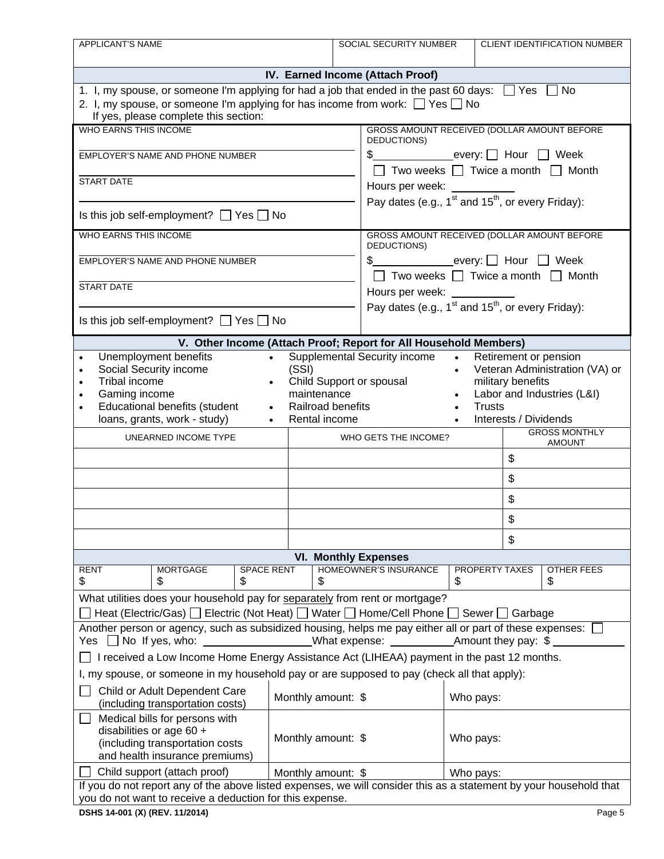| <b>APPLICANT'S NAME</b>                                                                                                                                                                           |                                   | SOCIAL SECURITY NUMBER                                           | CLIENT IDENTIFICATION NUMBER                                              |  |  |  |  |
|---------------------------------------------------------------------------------------------------------------------------------------------------------------------------------------------------|-----------------------------------|------------------------------------------------------------------|---------------------------------------------------------------------------|--|--|--|--|
|                                                                                                                                                                                                   |                                   |                                                                  |                                                                           |  |  |  |  |
| IV. Earned Income (Attach Proof)                                                                                                                                                                  |                                   |                                                                  |                                                                           |  |  |  |  |
| 1. I, my spouse, or someone I'm applying for had a job that ended in the past 60 days: $\Box$ Yes $\Box$ No                                                                                       |                                   |                                                                  |                                                                           |  |  |  |  |
| 2. I, my spouse, or someone I'm applying for has income from work: $\Box$ Yes $\Box$ No<br>If yes, please complete this section:                                                                  |                                   |                                                                  |                                                                           |  |  |  |  |
| WHO EARNS THIS INCOME.                                                                                                                                                                            |                                   |                                                                  | GROSS AMOUNT RECEIVED (DOLLAR AMOUNT BEFORE                               |  |  |  |  |
|                                                                                                                                                                                                   |                                   | DEDUCTIONS)                                                      |                                                                           |  |  |  |  |
| EMPLOYER'S NAME AND PHONE NUMBER                                                                                                                                                                  |                                   |                                                                  | \$_________________every:   Hour   Week                                   |  |  |  |  |
| <b>START DATE</b>                                                                                                                                                                                 |                                   |                                                                  | $\Box$ Two weeks $\Box$ Twice a month $\Box$ Month                        |  |  |  |  |
|                                                                                                                                                                                                   |                                   | Hours per week: _________                                        |                                                                           |  |  |  |  |
| Is this job self-employment? $\Box$ Yes $\Box$ No                                                                                                                                                 |                                   |                                                                  | Pay dates (e.g., $1^{st}$ and $15^{th}$ , or every Friday):               |  |  |  |  |
| <b>WHO EARNS THIS INCOME</b>                                                                                                                                                                      |                                   |                                                                  | GROSS AMOUNT RECEIVED (DOLLAR AMOUNT BEFORE                               |  |  |  |  |
| EMPLOYER'S NAME AND PHONE NUMBER                                                                                                                                                                  |                                   | DEDUCTIONS)                                                      | \$ Nour Meek                                                              |  |  |  |  |
|                                                                                                                                                                                                   |                                   |                                                                  | $\Box$ Two weeks $\Box$ Twice a month $\Box$ Month                        |  |  |  |  |
| <b>START DATE</b>                                                                                                                                                                                 |                                   | Hours per week: ______                                           |                                                                           |  |  |  |  |
|                                                                                                                                                                                                   |                                   |                                                                  | Pay dates (e.g., 1 <sup>st</sup> and 15 <sup>th</sup> , or every Friday): |  |  |  |  |
| Is this job self-employment? $\Box$ Yes $\Box$ No                                                                                                                                                 |                                   |                                                                  |                                                                           |  |  |  |  |
|                                                                                                                                                                                                   |                                   | V. Other Income (Attach Proof; Report for All Household Members) |                                                                           |  |  |  |  |
| Unemployment benefits                                                                                                                                                                             | $\bullet$                         | <b>Supplemental Security income</b><br>$\bullet$                 | Retirement or pension                                                     |  |  |  |  |
| Social Security income<br>$\bullet$<br>Tribal income<br>$\bullet$                                                                                                                                 | (SSI)<br>Child Support or spousal | $\bullet$                                                        | Veteran Administration (VA) or<br>military benefits                       |  |  |  |  |
| Gaming income                                                                                                                                                                                     | maintenance                       |                                                                  | Labor and Industries (L&I)                                                |  |  |  |  |
| Educational benefits (student                                                                                                                                                                     | Railroad benefits                 |                                                                  | <b>Trusts</b>                                                             |  |  |  |  |
| loans, grants, work - study)                                                                                                                                                                      | Rental income                     |                                                                  | Interests / Dividends<br><b>GROSS MONTHLY</b>                             |  |  |  |  |
| UNEARNED INCOME TYPE                                                                                                                                                                              |                                   | WHO GETS THE INCOME?                                             | <b>AMOUNT</b>                                                             |  |  |  |  |
|                                                                                                                                                                                                   |                                   |                                                                  | \$                                                                        |  |  |  |  |
|                                                                                                                                                                                                   |                                   |                                                                  | \$                                                                        |  |  |  |  |
|                                                                                                                                                                                                   |                                   |                                                                  | \$                                                                        |  |  |  |  |
|                                                                                                                                                                                                   |                                   |                                                                  | \$                                                                        |  |  |  |  |
|                                                                                                                                                                                                   |                                   |                                                                  | \$                                                                        |  |  |  |  |
| <b>VI. Monthly Expenses</b>                                                                                                                                                                       |                                   |                                                                  |                                                                           |  |  |  |  |
| <b>RENT</b><br><b>MORTGAGE</b><br><b>SPACE RENT</b>                                                                                                                                               |                                   | HOMEOWNER'S INSURANCE                                            | <b>PROPERTY TAXES</b><br>OTHER FEES                                       |  |  |  |  |
| \$<br>\$<br>\$                                                                                                                                                                                    | \$                                | \$                                                               | \$                                                                        |  |  |  |  |
| What utilities does your household pay for separately from rent or mortgage?                                                                                                                      |                                   |                                                                  |                                                                           |  |  |  |  |
| Heat (Electric/Gas)   Electric (Not Heat)   Water   Home/Cell Phone   Sewer   Garbage<br>Another person or agency, such as subsidized housing, helps me pay either all or part of these expenses: |                                   |                                                                  |                                                                           |  |  |  |  |
|                                                                                                                                                                                                   |                                   |                                                                  |                                                                           |  |  |  |  |
| I received a Low Income Home Energy Assistance Act (LIHEAA) payment in the past 12 months.                                                                                                        |                                   |                                                                  |                                                                           |  |  |  |  |
| I, my spouse, or someone in my household pay or are supposed to pay (check all that apply):                                                                                                       |                                   |                                                                  |                                                                           |  |  |  |  |
| Child or Adult Dependent Care<br>(including transportation costs)                                                                                                                                 | Monthly amount: \$                |                                                                  | Who pays:                                                                 |  |  |  |  |
| Medical bills for persons with                                                                                                                                                                    |                                   |                                                                  |                                                                           |  |  |  |  |
| disabilities or age 60 +                                                                                                                                                                          | Monthly amount: \$                |                                                                  | Who pays:                                                                 |  |  |  |  |
| (including transportation costs<br>and health insurance premiums)                                                                                                                                 |                                   |                                                                  |                                                                           |  |  |  |  |
| Child support (attach proof)                                                                                                                                                                      | Monthly amount: \$                |                                                                  | Who pays:                                                                 |  |  |  |  |
| If you do not report any of the above listed expenses, we will consider this as a statement by your household that                                                                                |                                   |                                                                  |                                                                           |  |  |  |  |
| you do not want to receive a deduction for this expense.                                                                                                                                          |                                   |                                                                  |                                                                           |  |  |  |  |
| DSHS 14-001 (X) (REV. 11/2014)                                                                                                                                                                    |                                   |                                                                  | Page 5                                                                    |  |  |  |  |